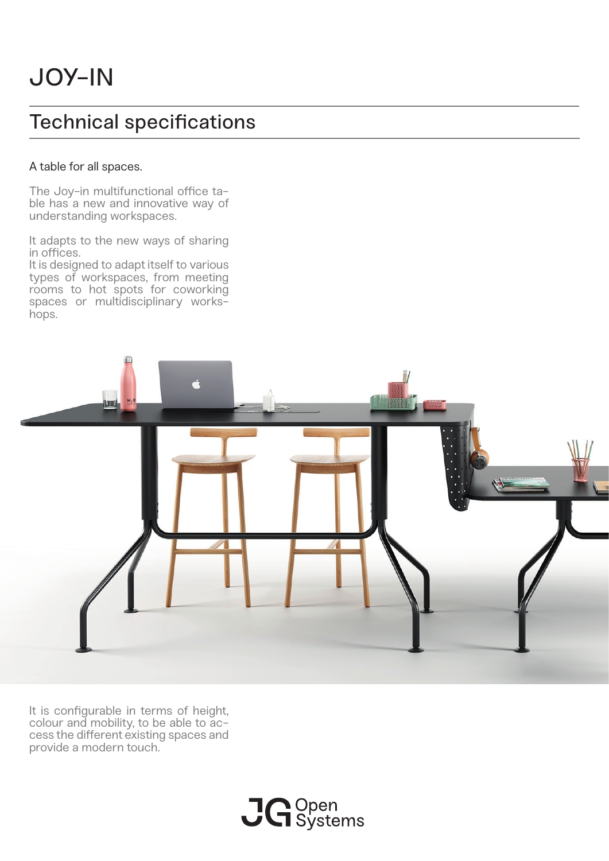# Technical specifications

### A table for all spaces.

The Joy-in multifunctional office table has a new and innovative way of understanding workspaces.

It adapts to the new ways of sharing in offices.

It is designed to adapt itself to various types of workspaces, from meeting rooms to hot spots for coworking spaces or multidisciplinary workshops.



It is configurable in terms of height, colour and mobility, to be able to ac- cess the different existing spaces and provide a modern touch.

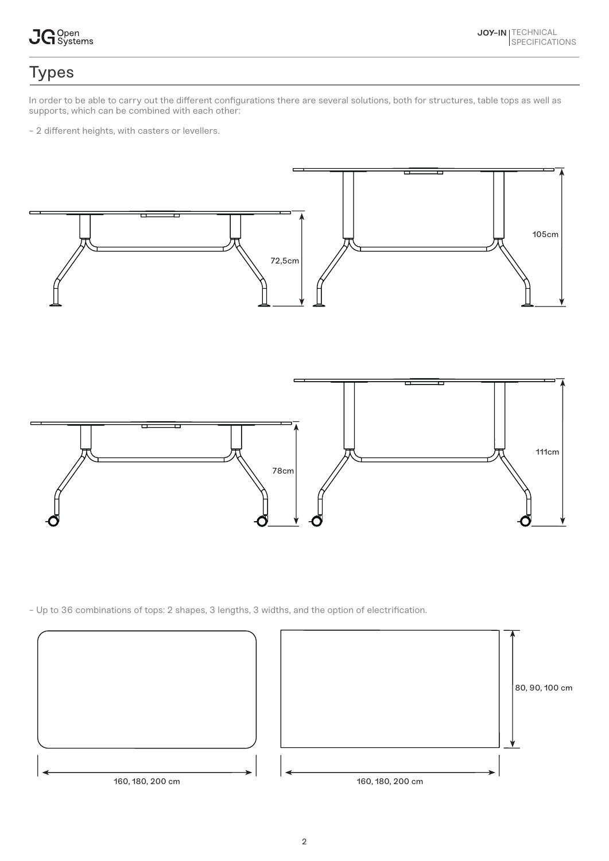

## Types

In order to be able to carry out the different configurations there are several solutions, both for structures, table tops as well as supports, which can be combined with each other:

- 2 different heights, with casters or levellers.



- Up to 36 combinations of tops: 2 shapes, 3 lengths, 3 widths, and the option of electrification.

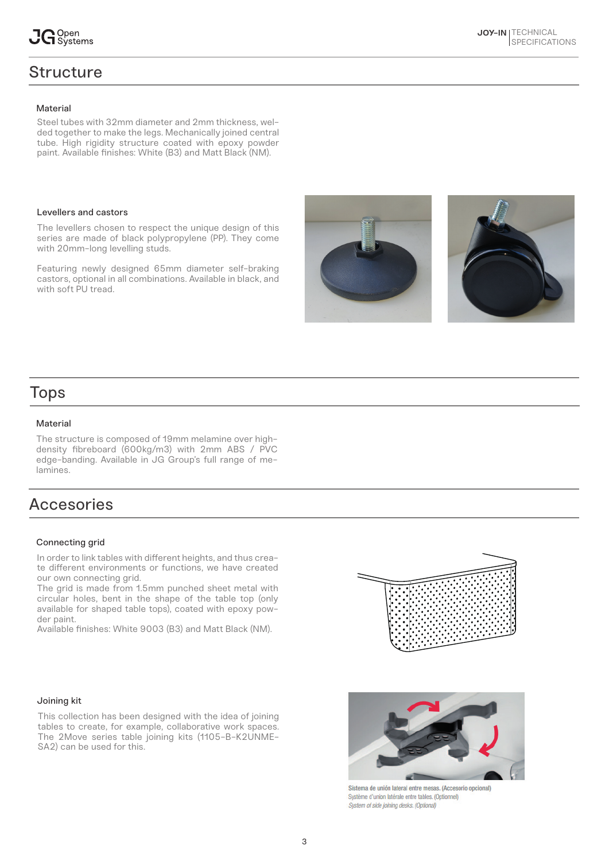## **Structure**

Steel tubes with 32mm diameter and 2mm thickness, welded together to make the legs. Mechanically joined central tube. High rigidity structure coated with epoxy powder paint. Available finishes: White (B3) and Matt Black (NM).

#### Levellers and castors

The levellers chosen to respect the unique design of this series are made of black polypropylene (PP). They come with 20mm-long levelling studs.

Featuring newly designed 65mm diameter self-braking castors, optional in all combinations. Available in black, and with soft PU tread.





## Tops

#### **Material**

The structure is composed of 19mm melamine over highdensity fibreboard (600kg/m3) with 2mm ABS / PVC edge-banding. Available in JG Group's full range of melamines.

## Accesories

#### Connecting grid

In order to link tables with different heights, and thus create different environments or functions, we have created our own connecting grid.

The grid is made from 1.5mm punched sheet metal with circular holes, bent in the shape of the table top (only available for shaped table tops), coated with epoxy powder paint.

Available finishes: White 9003 (B3) and Matt Black (NM).



#### Joining kit

This collection has been designed with the idea of joining tables to create, for example, collaborative work spaces. The 2Move series table joining kits (1105-B-K2UNME-SA2) can be used for this.



Sistema de unión lateral entre mesas. (Accesorio opcional) Système d'union latérale entre tables, (Optionnel) System of side joining desks. (Optional)

**JOY-IN TECHNICAL** 

**SPECIFICATIONS**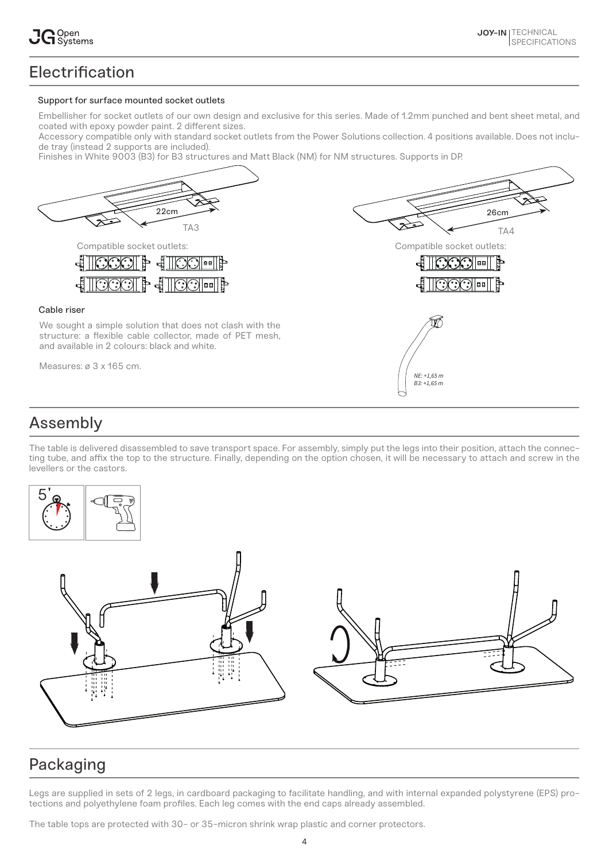## **Electrification**

#### Support for surface mounted socket outlets

Embellisher for socket outlets of our own design and exclusive for this series. Made of 1.2mm punched and bent sheet metal, and coated with epoxy powder paint. 2 different sizes.

Accessory compatible only with standard socket outlets from the Power Solutions collection. 4 positions available. Does not include tray (instead 2 supports are included).

Finishes in White 9003 (B3) for B3 structures and Matt Black (NM) for NM structures. Supports in DP.



## Assembly

The table is delivered disassembled to save transport space. For assembly, simply put the legs into their position, attach the connecting tube, and affix the top to the structure. Finally, depending on the option chosen, it will be necessary to attach and screw in the levellers or the castors.



## Packaging

Legs are supplied in sets of 2 legs, in cardboard packaging to facilitate handling, and with internal expanded polystyrene (EPS) protections and polyethylene foam profiles. Each leg comes with the end caps already assembled.

The table tops are protected with 30- or 35-micron shrink wrap plastic and corner protectors.